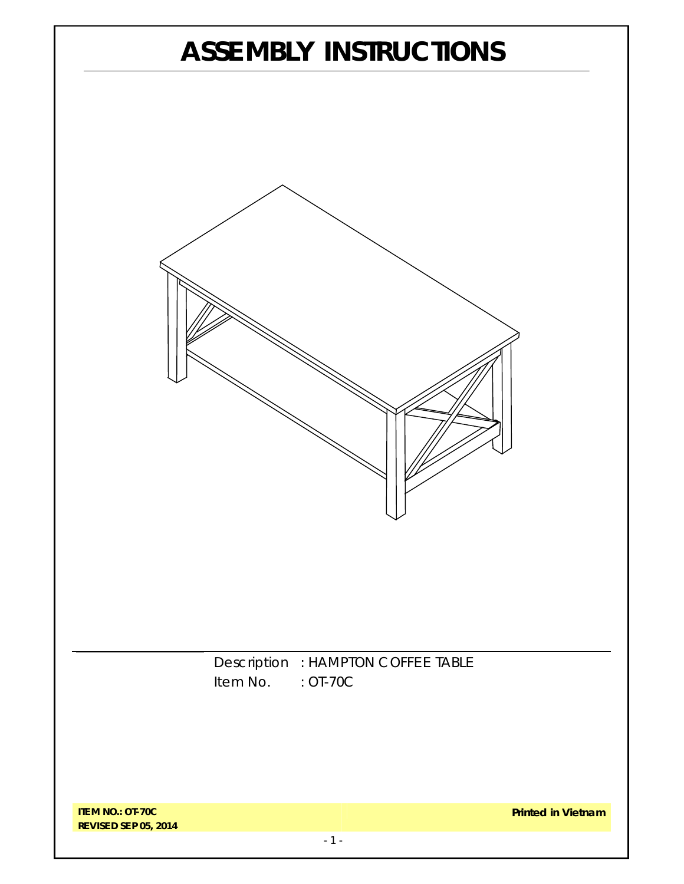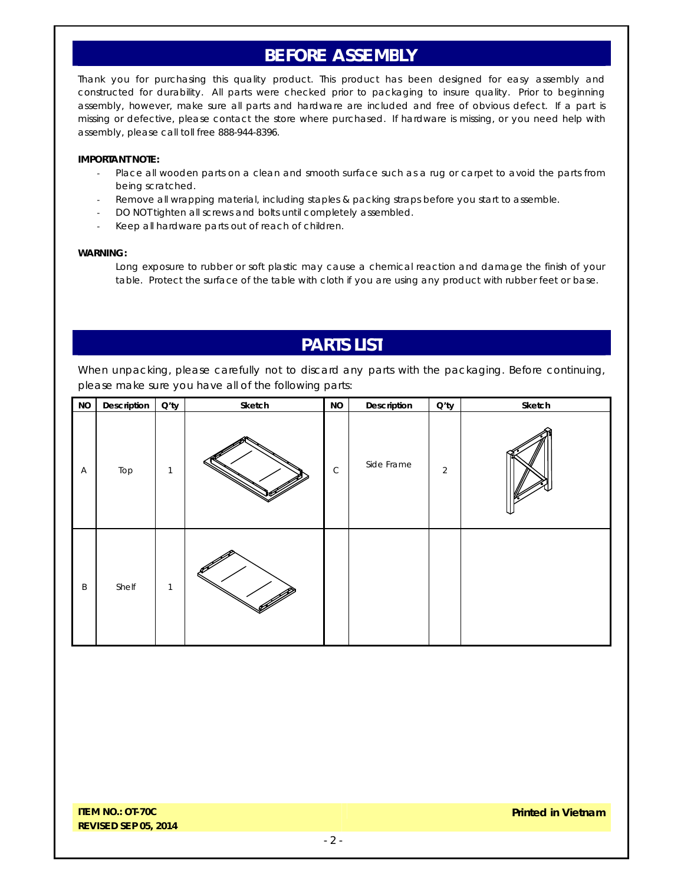## **BEFORE ASSEMBLY**

Thank you for purchasing this quality product. This product has been designed for easy assembly and constructed for durability. All parts were checked prior to packaging to insure quality. Prior to beginning assembly, however, make sure all parts and hardware are included and free of obvious defect. If a part is missing or defective, please contact the store where purchased. If hardware is missing, or you need help with assembly, please call toll free 888-944-8396.

#### **IMPORTANT NOTE:**

- Place all wooden parts on a clean and smooth surface such as a rug or carpet to avoid the parts from being scratched.
- Remove all wrapping material, including staples & packing straps before you start to assemble.
- DO NOT tighten all screws and bolts until completely assembled.
- Keep all hardware parts out of reach of children.

#### **WARNING:**

Long exposure to rubber or soft plastic may cause a chemical reaction and damage the finish of your table. Protect the surface of the table with cloth if you are using any product with rubber feet or base.

### **PARTS LIST**

When unpacking, please carefully not to discard any parts with the packaging. Before continuing, please make sure you have all of the following parts:

| $\rm NO$     | Description | $Q'$ ty      | Sketch | <b>NO</b>   | Description | $Q'$ ty        | Sketch |
|--------------|-------------|--------------|--------|-------------|-------------|----------------|--------|
| $\mathsf{A}$ | Top         | 1            |        | $\mathsf C$ | Side Frame  | $\overline{2}$ |        |
| B            | Shelf       | $\mathbf{1}$ |        |             |             |                |        |